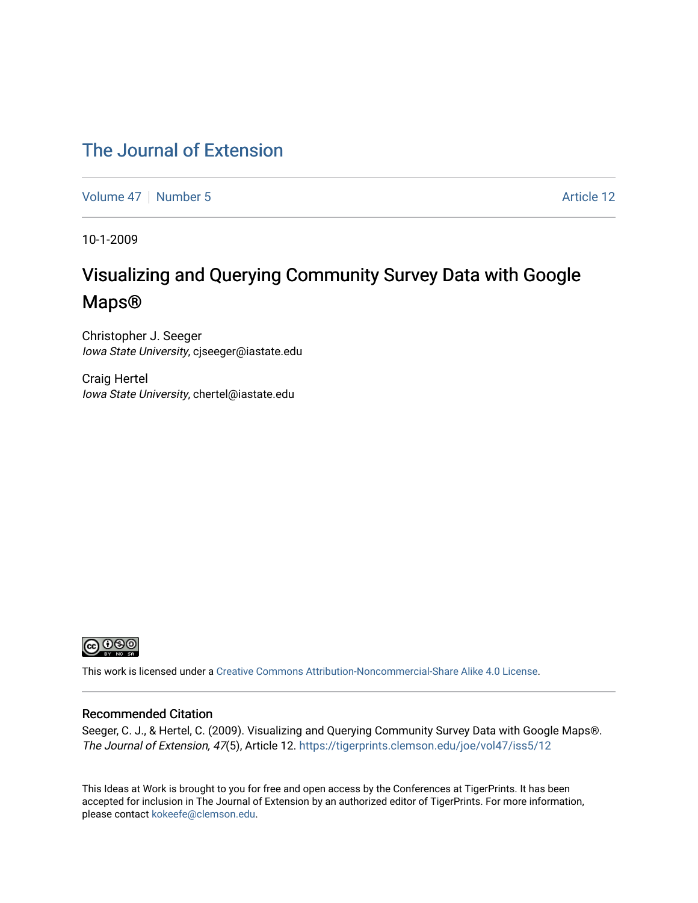#### [The Journal of Extension](https://tigerprints.clemson.edu/joe)

[Volume 47](https://tigerprints.clemson.edu/joe/vol47) | [Number 5](https://tigerprints.clemson.edu/joe/vol47/iss5) Article 12

10-1-2009

## Visualizing and Querying Community Survey Data with Google Maps®

Christopher J. Seeger Iowa State University, cjseeger@iastate.edu

Craig Hertel Iowa State University, chertel@iastate.edu



This work is licensed under a [Creative Commons Attribution-Noncommercial-Share Alike 4.0 License.](https://creativecommons.org/licenses/by-nc-sa/4.0/)

#### Recommended Citation

Seeger, C. J., & Hertel, C. (2009). Visualizing and Querying Community Survey Data with Google Maps®. The Journal of Extension, 47(5), Article 12. <https://tigerprints.clemson.edu/joe/vol47/iss5/12>

This Ideas at Work is brought to you for free and open access by the Conferences at TigerPrints. It has been accepted for inclusion in The Journal of Extension by an authorized editor of TigerPrints. For more information, please contact [kokeefe@clemson.edu](mailto:kokeefe@clemson.edu).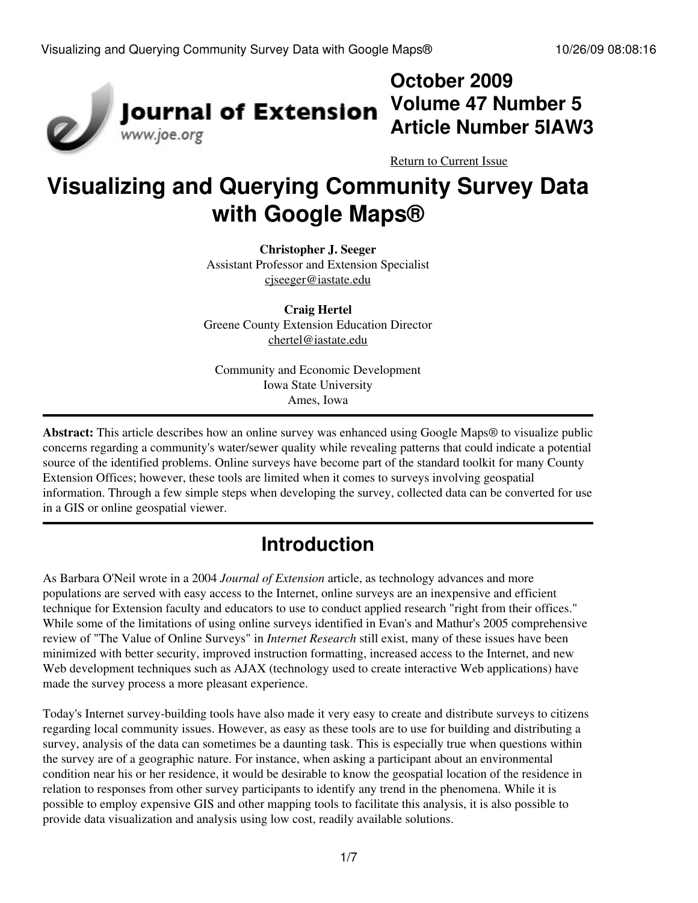

## **October 2009 Volume 47 Number 5 Article Number 5IAW3**

[Return to Current Issue](http://www.joe.org:80/joe/2009october/)

# **Visualizing and Querying Community Survey Data with Google Maps®**

**Christopher J. Seeger** Assistant Professor and Extension Specialist [cjseeger@iastate.edu](mailto:cjseeger@iastate.edu)

**Craig Hertel** Greene County Extension Education Director [chertel@iastate.edu](mailto:chertel@iastate.edu)

Community and Economic Development Iowa State University Ames, Iowa

**Abstract:** This article describes how an online survey was enhanced using Google Maps® to visualize public concerns regarding a community's water/sewer quality while revealing patterns that could indicate a potential source of the identified problems. Online surveys have become part of the standard toolkit for many County Extension Offices; however, these tools are limited when it comes to surveys involving geospatial information. Through a few simple steps when developing the survey, collected data can be converted for use in a GIS or online geospatial viewer.

## **Introduction**

As Barbara O'Neil wrote in a 2004 *Journal of Extension* article, as technology advances and more populations are served with easy access to the Internet, online surveys are an inexpensive and efficient technique for Extension faculty and educators to use to conduct applied research "right from their offices." While some of the limitations of using online surveys identified in Evan's and Mathur's 2005 comprehensive review of "The Value of Online Surveys" in *Internet Research* still exist, many of these issues have been minimized with better security, improved instruction formatting, increased access to the Internet, and new Web development techniques such as AJAX (technology used to create interactive Web applications) have made the survey process a more pleasant experience.

Today's Internet survey-building tools have also made it very easy to create and distribute surveys to citizens regarding local community issues. However, as easy as these tools are to use for building and distributing a survey, analysis of the data can sometimes be a daunting task. This is especially true when questions within the survey are of a geographic nature. For instance, when asking a participant about an environmental condition near his or her residence, it would be desirable to know the geospatial location of the residence in relation to responses from other survey participants to identify any trend in the phenomena. While it is possible to employ expensive GIS and other mapping tools to facilitate this analysis, it is also possible to provide data visualization and analysis using low cost, readily available solutions.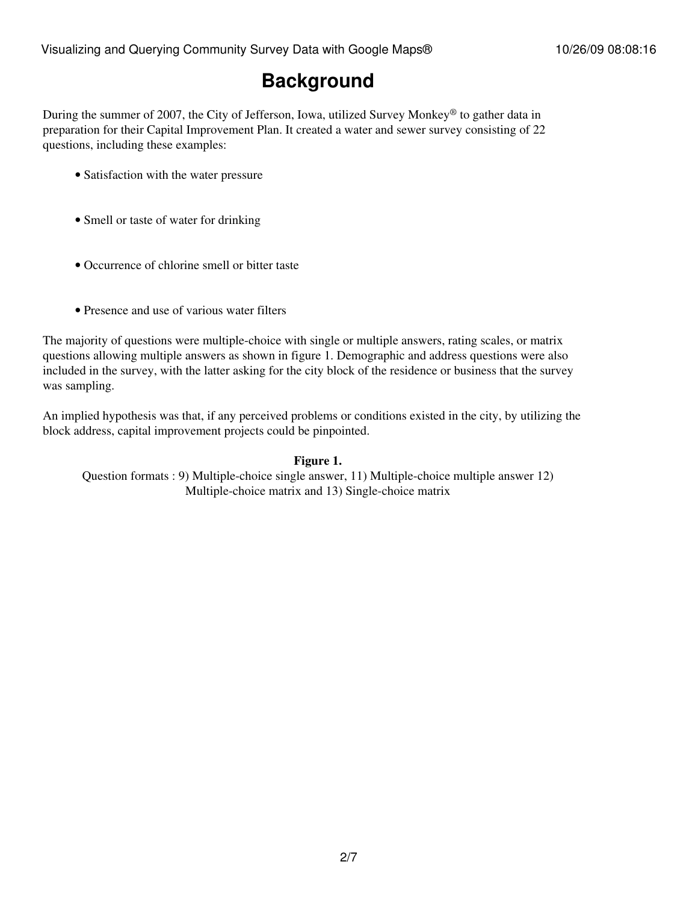### **Background**

During the summer of 2007, the City of Jefferson, Iowa, utilized Survey Monkey® to gather data in preparation for their Capital Improvement Plan. It created a water and sewer survey consisting of 22 questions, including these examples:

- Satisfaction with the water pressure
- Smell or taste of water for drinking
- Occurrence of chlorine smell or bitter taste
- Presence and use of various water filters

The majority of questions were multiple-choice with single or multiple answers, rating scales, or matrix questions allowing multiple answers as shown in figure 1. Demographic and address questions were also included in the survey, with the latter asking for the city block of the residence or business that the survey was sampling.

An implied hypothesis was that, if any perceived problems or conditions existed in the city, by utilizing the block address, capital improvement projects could be pinpointed.

#### **Figure 1.**

Question formats : 9) Multiple-choice single answer, 11) Multiple-choice multiple answer 12) Multiple-choice matrix and 13) Single-choice matrix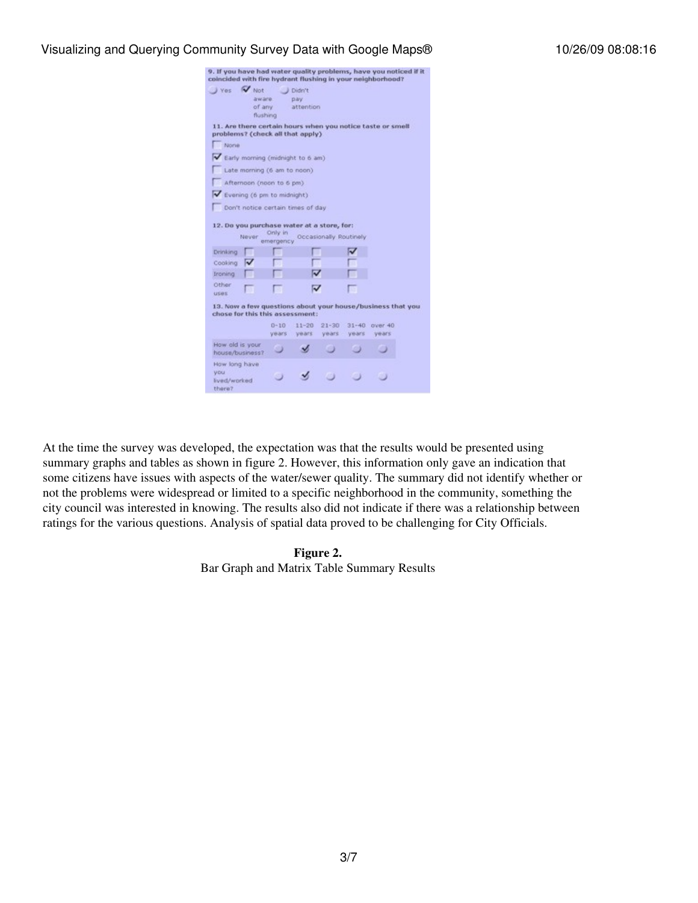#### Visualizing and Querying Community Survey Data with Google Maps® 10/26/09 08:08:16

| coincided with fire hydrant flushing in your neighborhood?                                                                                                                                                                                          |                                                                           |                    |                     |                        |                    |                  | 9. If you have had water quality problems, have you noticed if it |
|-----------------------------------------------------------------------------------------------------------------------------------------------------------------------------------------------------------------------------------------------------|---------------------------------------------------------------------------|--------------------|---------------------|------------------------|--------------------|------------------|-------------------------------------------------------------------|
| $\rightarrow$ Yes                                                                                                                                                                                                                                   | V Not                                                                     |                    | Didn't              |                        |                    |                  |                                                                   |
|                                                                                                                                                                                                                                                     | aware.                                                                    |                    | pay:                |                        |                    |                  |                                                                   |
|                                                                                                                                                                                                                                                     | of any                                                                    |                    | attention           |                        |                    |                  |                                                                   |
|                                                                                                                                                                                                                                                     | flushing                                                                  |                    |                     |                        |                    |                  |                                                                   |
| 11. Are there certain hours when you notice taste or smell<br>problems? (check all that apply)<br>Norie<br>Early morning (midnight to 6 am)<br>Afternoon (noon to 6 pm)<br>Evening (6 pm to midnight)<br>12. Do you purchase water at a store, for: | Late morning (6 am to noon)<br>Don't notice certain times of day<br>Never | Only in            |                     | Occasionally Routinely |                    |                  |                                                                   |
| Drinking                                                                                                                                                                                                                                            |                                                                           | emergency          |                     |                        |                    |                  |                                                                   |
| Cooking                                                                                                                                                                                                                                             |                                                                           |                    |                     |                        |                    |                  |                                                                   |
| Ironing                                                                                                                                                                                                                                             |                                                                           |                    |                     |                        |                    |                  |                                                                   |
| Other<br><b>USBS</b>                                                                                                                                                                                                                                |                                                                           | я                  | v                   |                        |                    |                  |                                                                   |
| 13. Now a few questions about your house/business that you<br>chose for this this assessment:                                                                                                                                                       |                                                                           |                    |                     |                        |                    |                  |                                                                   |
|                                                                                                                                                                                                                                                     |                                                                           | $D - 10$<br>years. | $11 - 20$<br>years: | $21 - 30$<br>years     | $31 - 40$<br>years | ower 40<br>vears |                                                                   |
| How ald is your<br>house/business?                                                                                                                                                                                                                  |                                                                           | ٠J                 |                     |                        | m                  |                  |                                                                   |
| How long have<br>vou<br>Eved/worked<br>there?                                                                                                                                                                                                       |                                                                           |                    |                     |                        |                    |                  |                                                                   |

At the time the survey was developed, the expectation was that the results would be presented using summary graphs and tables as shown in figure 2. However, this information only gave an indication that some citizens have issues with aspects of the water/sewer quality. The summary did not identify whether or not the problems were widespread or limited to a specific neighborhood in the community, something the city council was interested in knowing. The results also did not indicate if there was a relationship between ratings for the various questions. Analysis of spatial data proved to be challenging for City Officials.

> **Figure 2.** Bar Graph and Matrix Table Summary Results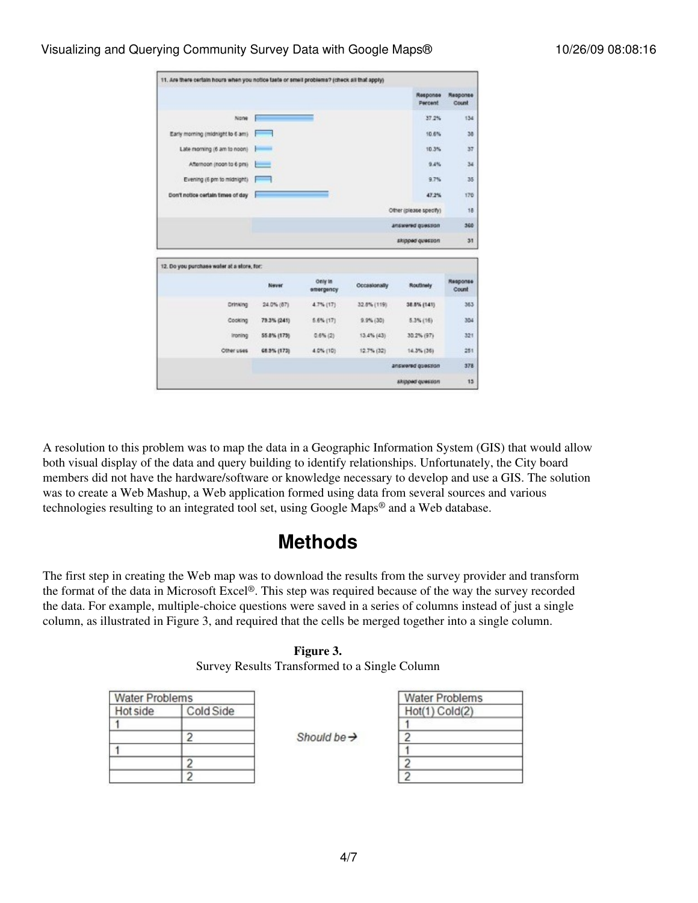|                                            |                        |                      |                  | Response<br>Percent | Response<br>Count |
|--------------------------------------------|------------------------|----------------------|------------------|---------------------|-------------------|
| None                                       |                        |                      |                  | 37.2%               | 134               |
| Early morning (midnight to 6 am)           |                        |                      |                  | 10.6%               | 38                |
| Late moming (6 am to noon)                 |                        |                      |                  | 10.3%               | 37                |
| Afternoon (noon to 6 pm)                   | سم                     |                      |                  | 9.4%                | 34                |
| Evening (6 pm to midnight).                | --                     |                      |                  | 9.7%                | 35                |
| Don't notice certain times of day          |                        |                      |                  | 47.2%               | 170               |
|                                            | Other (please specify) |                      |                  |                     |                   |
|                                            |                        |                      |                  | answered guession   | 360               |
|                                            |                        |                      | skipped question | 31                  |                   |
| 12. Do you purchase water at a store, for: |                        |                      |                  |                     |                   |
|                                            | Never                  | Only in<br>emergency | Occasionally     | Routlinely          | Response<br>Count |
| Drinking                                   | 24.0% (87)             | 4.7% (17)            | 32.8% (119).     | 38.8% (141)         | 363               |
| Cooking                                    | 79.3% (241)            | $6.6\%$ (17)         | $9.9\% (30)$     | $5.3\%$ (16)        | 304               |
| Ironing                                    | 55.8% (173)            | $0.6\%$ (2)          | 13.4% (43)       | 30.2% (97)          | 321               |
| Other uses                                 | 68.9% (173).           | 4.0% (10)            | 12.7% (32)       | $14.3\%$ (36)       | 251               |
|                                            |                        |                      |                  | answered guestion   | 378               |
|                                            |                        |                      |                  |                     |                   |

A resolution to this problem was to map the data in a Geographic Information System (GIS) that would allow both visual display of the data and query building to identify relationships. Unfortunately, the City board members did not have the hardware/software or knowledge necessary to develop and use a GIS. The solution was to create a Web Mashup, a Web application formed using data from several sources and various technologies resulting to an integrated tool set, using Google Maps® and a Web database.

#### **Methods**

The first step in creating the Web map was to download the results from the survey provider and transform the format of the data in Microsoft Excel®. This step was required because of the way the survey recorded the data. For example, multiple-choice questions were saved in a series of columns instead of just a single column, as illustrated in Figure 3, and required that the cells be merged together into a single column.

#### **Figure 3.**

| Survey Results Transformed to a Single Column |  |  |  |
|-----------------------------------------------|--|--|--|
|-----------------------------------------------|--|--|--|

| <b>Water Problems</b> |           |
|-----------------------|-----------|
| Hot side              | Cold Side |
|                       |           |
|                       |           |
|                       |           |
|                       |           |
|                       |           |

Should be  $\rightarrow$ 

| <b>Water Problems</b> |
|-----------------------|
| Hot(1) Cold(2)        |
|                       |
|                       |
|                       |
|                       |
|                       |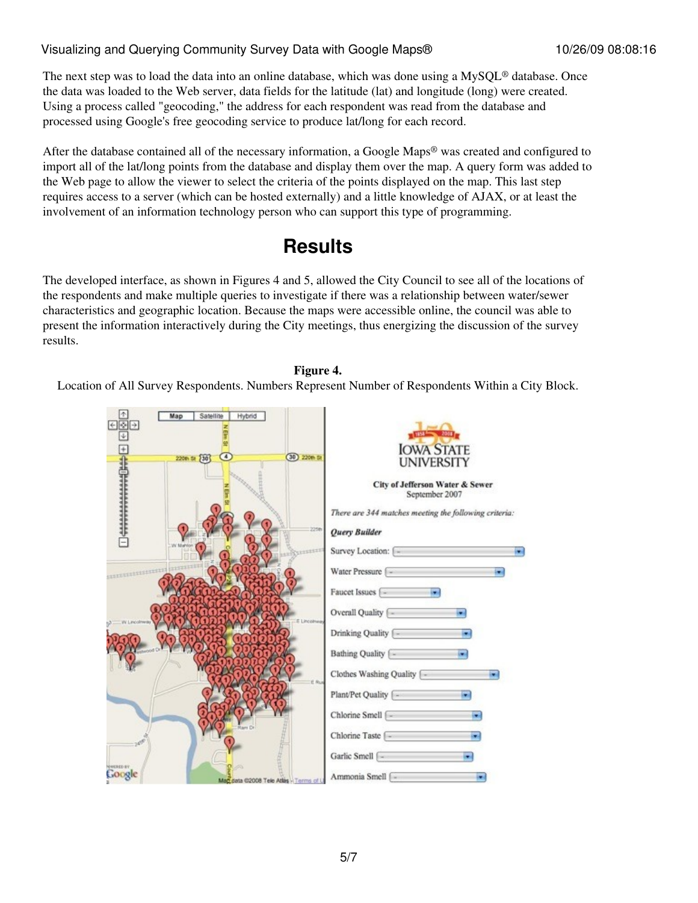#### Visualizing and Querying Community Survey Data with Google Maps® 10/26/09 08:08:16

The next step was to load the data into an online database, which was done using a MySQL<sup>®</sup> database. Once the data was loaded to the Web server, data fields for the latitude (lat) and longitude (long) were created. Using a process called "geocoding," the address for each respondent was read from the database and processed using Google's free geocoding service to produce lat/long for each record.

After the database contained all of the necessary information, a Google Maps® was created and configured to import all of the lat/long points from the database and display them over the map. A query form was added to the Web page to allow the viewer to select the criteria of the points displayed on the map. This last step requires access to a server (which can be hosted externally) and a little knowledge of AJAX, or at least the involvement of an information technology person who can support this type of programming.

#### **Results**

The developed interface, as shown in Figures 4 and 5, allowed the City Council to see all of the locations of the respondents and make multiple queries to investigate if there was a relationship between water/sewer characteristics and geographic location. Because the maps were accessible online, the council was able to present the information interactively during the City meetings, thus energizing the discussion of the survey results.

#### **Figure 4.**

Location of All Survey Respondents. Numbers Represent Number of Respondents Within a City Block.

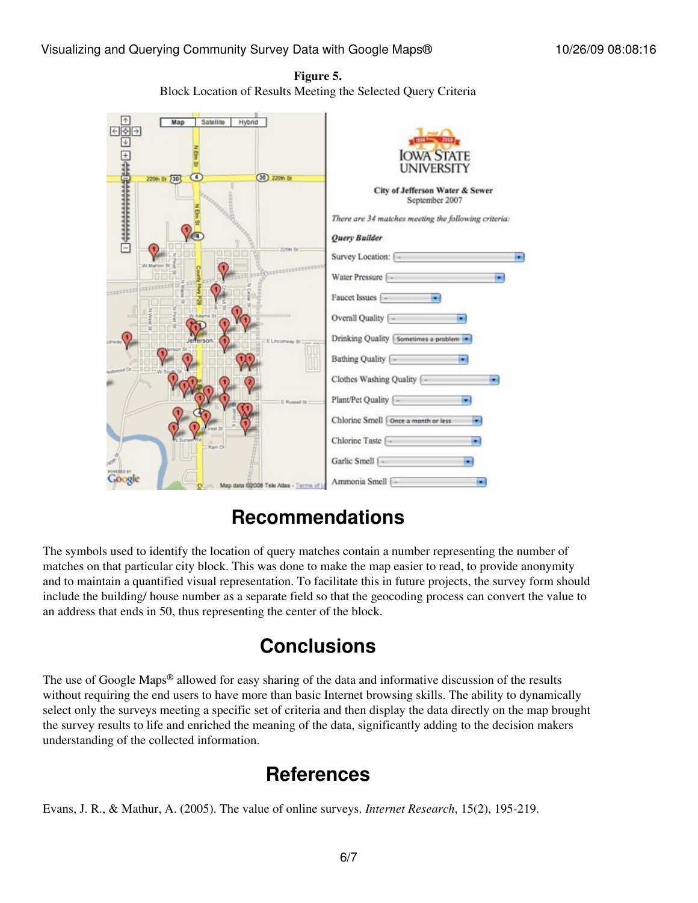**Figure 5.** Block Location of Results Meeting the Selected Query Criteria



## **Recommendations**

The symbols used to identify the location of query matches contain a number representing the number of matches on that particular city block. This was done to make the map easier to read, to provide anonymity and to maintain a quantified visual representation. To facilitate this in future projects, the survey form should include the building/ house number as a separate field so that the geocoding process can convert the value to an address that ends in 50, thus representing the center of the block.

## **Conclusions**

The use of Google Maps® allowed for easy sharing of the data and informative discussion of the results without requiring the end users to have more than basic Internet browsing skills. The ability to dynamically select only the surveys meeting a specific set of criteria and then display the data directly on the map brought the survey results to life and enriched the meaning of the data, significantly adding to the decision makers understanding of the collected information.

## **References**

Evans, J. R., & Mathur, A. (2005). The value of online surveys. *Internet Research*, 15(2), 195-219.